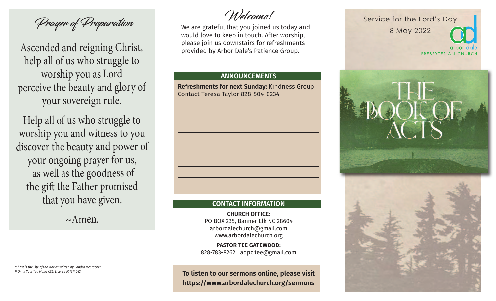Prayer of Preparation<br>We are grateful that you joined us today and<br>B May 2022

Ascended and reigning Christ, help all of us who struggle to worship you as Lord perceive the beauty and glory of your sovereign rule.

Help all of us who struggle to worship you and witness to you discover the beauty and power of your ongoing prayer for us, as well as the goodness of the gift the Father promised that you have given.

 $\sim$ Amen.

Welcome!

We are grateful that you joined us today and would love to keep in touch. After worship, please join us downstairs for refreshments provided by Arbor Dale's Patience Group.

## **ANNOUNCEMENTS**

**Refreshments for next Sunday:** Kindness Group Contact Teresa Taylor 828-504-0234

# **CONTACT INFORMATION**

**CHURCH OFFICE:**  PO BOX 235, Banner Elk NC 28604 arbordalechurch@gmail.com www.arbordalechurch.org

**PASTOR TEE GATEWOOD:**  828-783-8262 adpc.tee@gmail.com

**To listen to our sermons online, please visit https://www.arbordalechurch.org/sermons**





*"Christ is the Life of the World" written by Sandra McCracken © Drink Your Tea Music CCLI License #11214042*